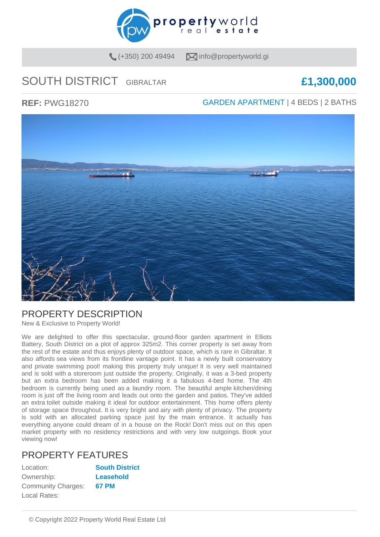

 $(+350)$  200 49494  $\sqrt{\phantom{a}}$  info@propertyworld.gi

# SOUTH DISTRICT GIBRALTAR **£1,300,000**

**REF:** PWG18270 GARDEN APARTMENT | 4 BEDS | 2 BATHS



### PROPERTY DESCRIPTION

New & Exclusive to Property World!

We are delighted to offer this spectacular, ground-floor garden apartment in Elliots Battery, South District on a plot of approx 325m2. This corner property is set away from the rest of the estate and thus enjoys plenty of outdoor space, which is rare in Gibraltar. It also affords sea views from its frontline vantage point. It has a newly built conservatory and private swimming pool! making this property truly unique! It is very well maintained and is sold with a storeroom just outside the property. Originally, it was a 3-bed property but an extra bedroom has been added making it a fabulous 4-bed home. The 4th bedroom is currently being used as a laundry room. The beautiful ample kitchen/dining room is just off the living room and leads out onto the garden and patios. They've added an extra toilet outside making it ideal for outdoor entertainment. This home offers plenty of storage space throughout. It is very bright and airy with plenty of privacy. The property is sold with an allocated parking space just by the main entrance. It actually has everything anyone could dream of in a house on the Rock! Don't miss out on this open market property with no residency restrictions and with very low outgoings. Book your viewing now!

## PROPERTY FEATURES

| Location:                 | <b>South District</b> |
|---------------------------|-----------------------|
| Ownership:                | Leasehold             |
| <b>Community Charges:</b> | <b>67 PM</b>          |
| Local Rates:              |                       |